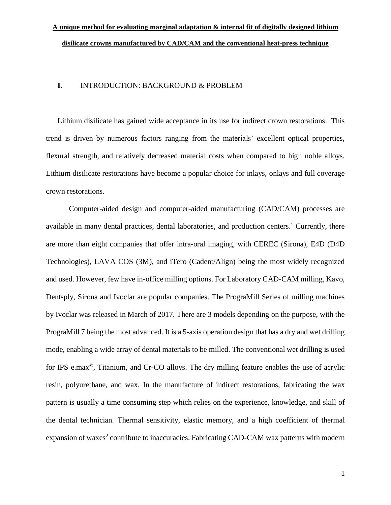### **I.** INTRODUCTION: BACKGROUND & PROBLEM

Lithium disilicate has gained wide acceptance in its use for indirect crown restorations. This trend is driven by numerous factors ranging from the materials' excellent optical properties, flexural strength, and relatively decreased material costs when compared to high noble alloys. Lithium disilicate restorations have become a popular choice for inlays, onlays and full coverage crown restorations.

Computer-aided design and computer-aided manufacturing (CAD/CAM) processes are available in many dental practices, dental laboratories, and production centers.<sup>1</sup> Currently, there are more than eight companies that offer intra-oral imaging, with CEREC (Sirona), E4D (D4D Technologies), LAVA COS (3M), and iTero (Cadent/Align) being the most widely recognized and used. However, few have in-office milling options. For Laboratory CAD-CAM milling, Kavo, Dentsply, Sirona and Ivoclar are popular companies. The PrograMill Series of milling machines by Ivoclar was released in March of 2017. There are 3 models depending on the purpose, with the PrograMill 7 being the most advanced. It is a 5-axis operation design that has a dry and wet drilling mode, enabling a wide array of dental materials to be milled. The conventional wet drilling is used for IPS e.max©, Titanium, and Cr-CO alloys. The dry milling feature enables the use of acrylic resin, polyurethane, and wax. In the manufacture of indirect restorations, fabricating the wax pattern is usually a time consuming step which relies on the experience, knowledge, and skill of the dental technician. Thermal sensitivity, elastic memory, and a high coefficient of thermal expansion of waxes<sup>2</sup> contribute to inaccuracies. Fabricating CAD-CAM wax patterns with modern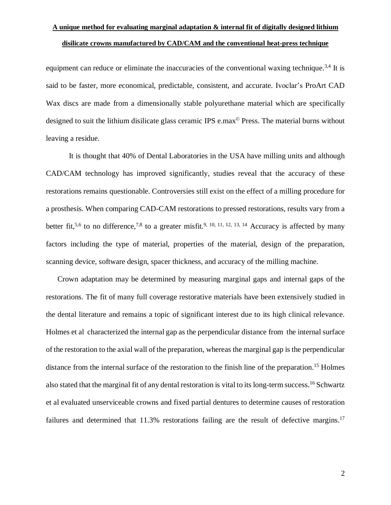equipment can reduce or eliminate the inaccuracies of the conventional waxing technique.<sup>3,4</sup> It is said to be faster, more economical, predictable, consistent, and accurate. Ivoclar's ProArt CAD Wax discs are made from a dimensionally stable polyurethane material which are specifically designed to suit the lithium disilicate glass ceramic IPS e.max© Press. The material burns without leaving a residue.

It is thought that 40% of Dental Laboratories in the USA have milling units and although CAD/CAM technology has improved significantly, studies reveal that the accuracy of these restorations remains questionable. Controversies still exist on the effect of a milling procedure for a prosthesis. When comparing CAD-CAM restorations to pressed restorations, results vary from a better fit,<sup>5,6</sup> to no difference,<sup>7,8</sup> to a greater misfit.<sup>9, 10, 11, 12, 13, 14</sup> Accuracy is affected by many factors including the type of material, properties of the material, design of the preparation, scanning device, software design, spacer thickness, and accuracy of the milling machine.

Crown adaptation may be determined by measuring marginal gaps and internal gaps of the restorations. The fit of many full coverage restorative materials have been extensively studied in the dental literature and remains a topic of significant interest due to its high clinical relevance. Holmes et al characterized the internal gap as the perpendicular distance from the internal surface of the restoration to the axial wall of the preparation, whereas the marginal gap is the perpendicular distance from the internal surface of the restoration to the finish line of the preparation. <sup>15</sup> Holmes also stated that the marginal fit of any dental restoration is vital to its long-term success. <sup>16</sup> Schwartz et al evaluated unserviceable crowns and fixed partial dentures to determine causes of restoration failures and determined that 11.3% restorations failing are the result of defective margins.<sup>17</sup>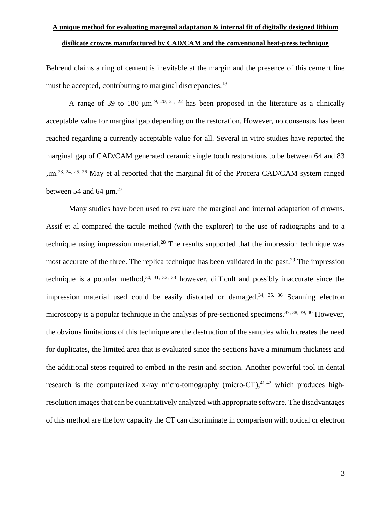Behrend claims a ring of cement is inevitable at the margin and the presence of this cement line must be accepted, contributing to marginal discrepancies.<sup>18</sup>

A range of 39 to 180  $\mu$ m<sup>19, 20, 21, 22</sup> has been proposed in the literature as a clinically acceptable value for marginal gap depending on the restoration. However, no consensus has been reached regarding a currently acceptable value for all. Several in vitro studies have reported the marginal gap of CAD/CAM generated ceramic single tooth restorations to be between 64 and 83 μm.23, 24, 25, <sup>26</sup> May et al reported that the marginal fit of the Procera CAD/CAM system ranged between 54 and 64  $\mu$ m.<sup>27</sup>

Many studies have been used to evaluate the marginal and internal adaptation of crowns. Assif et al compared the tactile method (with the explorer) to the use of radiographs and to a technique using impression material.<sup>28</sup> The results supported that the impression technique was most accurate of the three. The replica technique has been validated in the past.<sup>29</sup> The impression technique is a popular method,  $30, 31, 32, 33$  however, difficult and possibly inaccurate since the impression material used could be easily distorted or damaged.<sup>34, 35, 36</sup> Scanning electron microscopy is a popular technique in the analysis of pre-sectioned specimens.<sup>37, 38, 39, 40</sup> However, the obvious limitations of this technique are the destruction of the samples which creates the need for duplicates, the limited area that is evaluated since the sections have a minimum thickness and the additional steps required to embed in the resin and section. Another powerful tool in dental research is the computerized x-ray micro-tomography (micro-CT), $41,42$  which produces highresolution images that can be quantitatively analyzed with appropriate software. The disadvantages of this method are the low capacity the CT can discriminate in comparison with optical or electron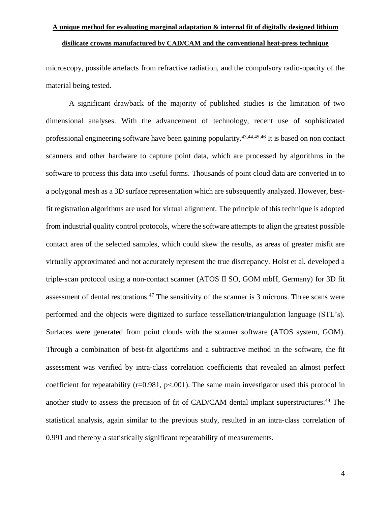microscopy, possible artefacts from refractive radiation, and the compulsory radio-opacity of the material being tested.

A significant drawback of the majority of published studies is the limitation of two dimensional analyses. With the advancement of technology, recent use of sophisticated professional engineering software have been gaining popularity.43,44,45,46 It is based on non contact scanners and other hardware to capture point data, which are processed by algorithms in the software to process this data into useful forms. Thousands of point cloud data are converted in to a polygonal mesh as a 3D surface representation which are subsequently analyzed. However, bestfit registration algorithms are used for virtual alignment. The principle of this technique is adopted from industrial quality control protocols, where the software attempts to align the greatest possible contact area of the selected samples, which could skew the results, as areas of greater misfit are virtually approximated and not accurately represent the true discrepancy. Holst et al. developed a triple-scan protocol using a non-contact scanner (ATOS II SO, GOM mbH, Germany) for 3D fit assessment of dental restorations.<sup>47</sup> The sensitivity of the scanner is 3 microns. Three scans were performed and the objects were digitized to surface tessellation/triangulation language (STL's). Surfaces were generated from point clouds with the scanner software (ATOS system, GOM). Through a combination of best-fit algorithms and a subtractive method in the software, the fit assessment was verified by intra-class correlation coefficients that revealed an almost perfect coefficient for repeatability ( $r=0.981$ ,  $p<0.01$ ). The same main investigator used this protocol in another study to assess the precision of fit of CAD/CAM dental implant superstructures.<sup>48</sup> The statistical analysis, again similar to the previous study, resulted in an intra-class correlation of 0.991 and thereby a statistically significant repeatability of measurements.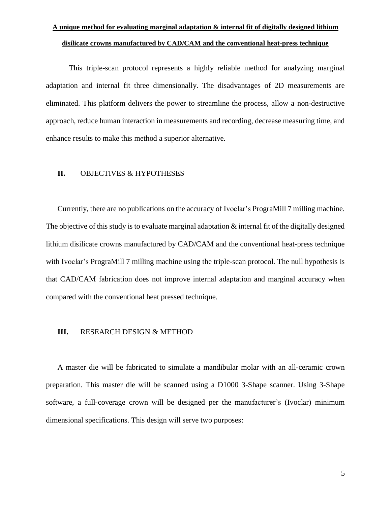This triple-scan protocol represents a highly reliable method for analyzing marginal adaptation and internal fit three dimensionally. The disadvantages of 2D measurements are eliminated. This platform delivers the power to streamline the process, allow a non-destructive approach, reduce human interaction in measurements and recording, decrease measuring time, and enhance results to make this method a superior alternative.

### **II.** OBJECTIVES & HYPOTHESES

Currently, there are no publications on the accuracy of Ivoclar's PrograMill 7 milling machine. The objective of this study is to evaluate marginal adaptation  $\&$  internal fit of the digitally designed lithium disilicate crowns manufactured by CAD/CAM and the conventional heat-press technique with Ivoclar's PrograMill 7 milling machine using the triple-scan protocol. The null hypothesis is that CAD/CAM fabrication does not improve internal adaptation and marginal accuracy when compared with the conventional heat pressed technique.

#### **III.** RESEARCH DESIGN & METHOD

A master die will be fabricated to simulate a mandibular molar with an all-ceramic crown preparation. This master die will be scanned using a D1000 3-Shape scanner. Using 3-Shape software, a full-coverage crown will be designed per the manufacturer's (Ivoclar) minimum dimensional specifications. This design will serve two purposes: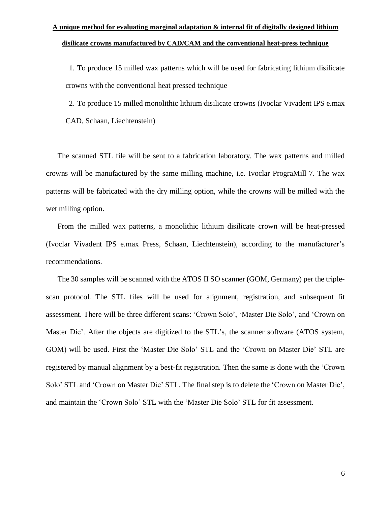1. To produce 15 milled wax patterns which will be used for fabricating lithium disilicate crowns with the conventional heat pressed technique

2. To produce 15 milled monolithic lithium disilicate crowns (Ivoclar Vivadent IPS e.max CAD, Schaan, Liechtenstein)

The scanned STL file will be sent to a fabrication laboratory. The wax patterns and milled crowns will be manufactured by the same milling machine, i.e. Ivoclar PrograMill 7. The wax patterns will be fabricated with the dry milling option, while the crowns will be milled with the wet milling option.

From the milled wax patterns, a monolithic lithium disilicate crown will be heat-pressed (Ivoclar Vivadent IPS e.max Press, Schaan, Liechtenstein), according to the manufacturer's recommendations.

The 30 samples will be scanned with the ATOS II SO scanner (GOM, Germany) per the triplescan protocol. The STL files will be used for alignment, registration, and subsequent fit assessment. There will be three different scans: 'Crown Solo', 'Master Die Solo', and 'Crown on Master Die'. After the objects are digitized to the STL's, the scanner software (ATOS system, GOM) will be used. First the 'Master Die Solo' STL and the 'Crown on Master Die' STL are registered by manual alignment by a best-fit registration. Then the same is done with the 'Crown Solo' STL and 'Crown on Master Die' STL. The final step is to delete the 'Crown on Master Die', and maintain the 'Crown Solo' STL with the 'Master Die Solo' STL for fit assessment.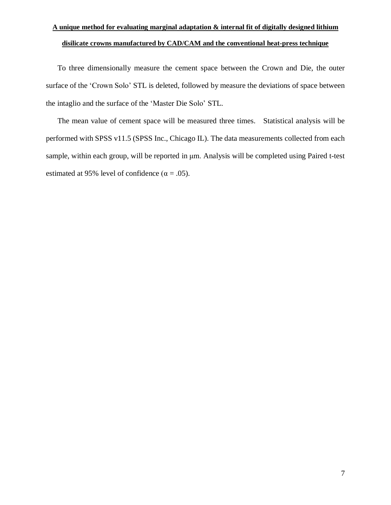To three dimensionally measure the cement space between the Crown and Die, the outer surface of the 'Crown Solo' STL is deleted, followed by measure the deviations of space between the intaglio and the surface of the 'Master Die Solo' STL.

The mean value of cement space will be measured three times. Statistical analysis will be performed with SPSS v11.5 (SPSS Inc., Chicago IL). The data measurements collected from each sample, within each group, will be reported in μm. Analysis will be completed using Paired t-test estimated at 95% level of confidence ( $\alpha = .05$ ).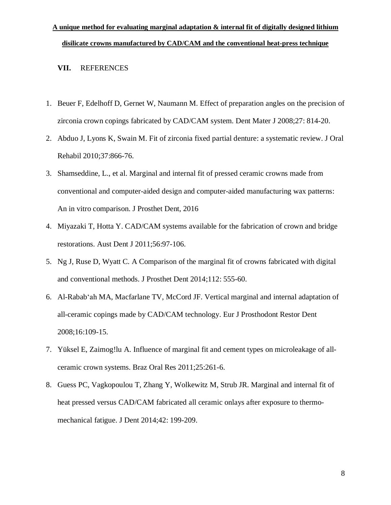#### **VII.** REFERENCES

- 1. Beuer F, Edelhoff D, Gernet W, Naumann M. Effect of preparation angles on the precision of zirconia crown copings fabricated by CAD/CAM system. Dent Mater J 2008;27: 814-20.
- 2. Abduo J, Lyons K, Swain M. Fit of zirconia fixed partial denture: a systematic review. J Oral Rehabil 2010;37:866-76.
- 3. Shamseddine, L., et al. Marginal and internal fit of pressed ceramic crowns made from conventional and computer-aided design and computer-aided manufacturing wax patterns: An in vitro comparison. J Prosthet Dent, 2016
- 4. Miyazaki T, Hotta Y. CAD/CAM systems available for the fabrication of crown and bridge restorations. Aust Dent J 2011;56:97-106.
- 5. Ng J, Ruse D, Wyatt C. A Comparison of the marginal fit of crowns fabricated with digital and conventional methods. J Prosthet Dent 2014;112: 555-60.
- 6. Al-Rabab'ah MA, Macfarlane TV, McCord JF. Vertical marginal and internal adaptation of all-ceramic copings made by CAD/CAM technology. Eur J Prosthodont Restor Dent 2008;16:109-15.
- 7. Yüksel E, Zaimog!lu A. Influence of marginal fit and cement types on microleakage of allceramic crown systems. Braz Oral Res 2011;25:261-6.
- 8. Guess PC, Vagkopoulou T, Zhang Y, Wolkewitz M, Strub JR. Marginal and internal fit of heat pressed versus CAD/CAM fabricated all ceramic onlays after exposure to thermomechanical fatigue. J Dent 2014;42: 199-209.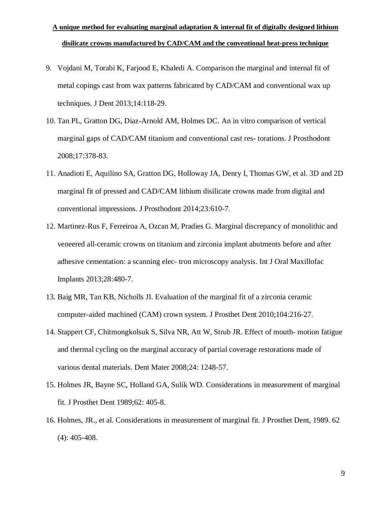- 9. Vojdani M, Torabi K, Farjood E, Khaledi A. Comparison the marginal and internal fit of metal copings cast from wax patterns fabricated by CAD/CAM and conventional wax up techniques. J Dent 2013;14:118-29.
- 10. Tan PL, Gratton DG, Diaz-Arnold AM, Holmes DC. An in vitro comparison of vertical marginal gaps of CAD/CAM titanium and conventional cast res- torations. J Prosthodont 2008;17:378-83.
- 11. Anadioti E, Aquilino SA, Gratton DG, Holloway JA, Denry I, Thomas GW, et al. 3D and 2D marginal fit of pressed and CAD/CAM lithium disilicate crowns made from digital and conventional impressions. J Prosthodont 2014;23:610-7.
- 12. Martinez-Rus F, Ferreiroa A, Ozcan M, Pradies G. Marginal discrepancy of monolithic and veneered all-ceramic crowns on titanium and zirconia implant abutments before and after adhesive cementation: a scanning elec- tron microscopy analysis. Int J Oral Maxillofac Implants 2013;28:480-7.
- 13. Baig MR, Tan KB, Nicholls JI. Evaluation of the marginal fit of a zirconia ceramic computer-aided machined (CAM) crown system. J Prosthet Dent 2010;104:216-27.
- 14. Stappert CF, Chitmongkolsuk S, Silva NR, Att W, Strub JR. Effect of mouth- motion fatigue and thermal cycling on the marginal accuracy of partial coverage restorations made of various dental materials. Dent Mater 2008;24: 1248-57.
- 15. Holmes JR, Bayne SC, Holland GA, Sulik WD. Considerations in measurement of marginal fit. J Prosthet Dent 1989;62: 405-8.
- 16. Holmes, JR., et al. Considerations in measurement of marginal fit. J Prosthet Dent, 1989. 62 (4): 405-408.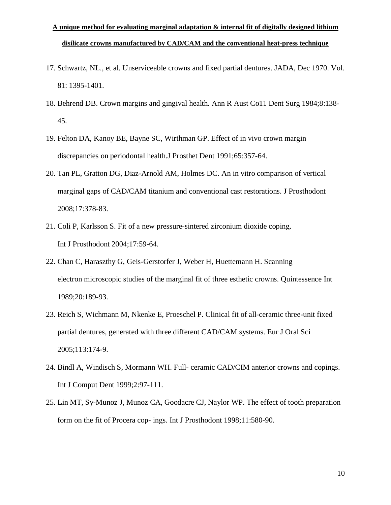- 17. Schwartz, NL., et al. Unserviceable crowns and fixed partial dentures. JADA, Dec 1970. Vol. 81: 1395-1401.
- 18. Behrend DB. Crown margins and gingival health. Ann R Aust Co11 Dent Surg 1984;8:138- 45.
- 19. Felton DA, Kanoy BE, Bayne SC, Wirthman GP. Effect of in vivo crown margin discrepancies on periodontal health.J Prosthet Dent 1991;65:357-64.
- 20. Tan PL, Gratton DG, Diaz-Arnold AM, Holmes DC. An in vitro comparison of vertical marginal gaps of CAD/CAM titanium and conventional cast restorations. J Prosthodont 2008;17:378-83.
- 21. Coli P, Karlsson S. Fit of a new pressure-sintered zirconium dioxide coping. Int J Prosthodont 2004;17:59-64.
- 22. Chan C, Haraszthy G, Geis-Gerstorfer J, Weber H, Huettemann H. Scanning electron microscopic studies of the marginal fit of three esthetic crowns. Quintessence Int 1989;20:189-93.
- 23. Reich S, Wichmann M, Nkenke E, Proeschel P. Clinical fit of all-ceramic three-unit fixed partial dentures, generated with three different CAD/CAM systems. Eur J Oral Sci 2005;113:174-9.
- 24. Bindl A, Windisch S, Mormann WH. Full- ceramic CAD/CIM anterior crowns and copings. Int J Comput Dent 1999;2:97-111.
- 25. Lin MT, Sy-Munoz J, Munoz CA, Goodacre CJ, Naylor WP. The effect of tooth preparation form on the fit of Procera cop- ings. Int J Prosthodont 1998;11:580-90.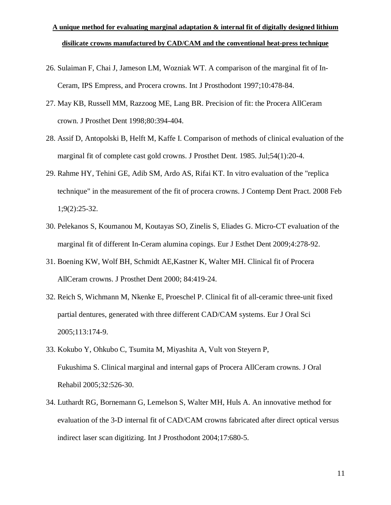- 26. Sulaiman F, Chai J, Jameson LM, Wozniak WT. A comparison of the marginal fit of In-Ceram, IPS Empress, and Procera crowns. Int J Prosthodont 1997;10:478-84.
- 27. May KB, Russell MM, Razzoog ME, Lang BR. Precision of fit: the Procera AllCeram crown. J Prosthet Dent 1998;80:394-404.
- 28. Assif D, Antopolski B, Helft M, Kaffe I. Comparison of methods of clinical evaluation of the marginal fit of complete cast gold crowns. J Prosthet Dent. 1985. Jul;54(1):20-4.
- 29. Rahme HY, Tehini GE, Adib SM, Ardo AS, Rifai KT. In vitro evaluation of the "replica technique" in the measurement of the fit of procera crowns. J Contemp Dent Pract. 2008 Feb 1;9(2):25-32.
- 30. Pelekanos S, Koumanou M, Koutayas SO, Zinelis S, Eliades G. Micro-CT evaluation of the marginal fit of different In-Ceram alumina copings. Eur J Esthet Dent 2009;4:278-92.
- 31. Boening KW, Wolf BH, Schmidt AE,Kastner K, Walter MH. Clinical fit of Procera AllCeram crowns. J Prosthet Dent 2000; 84:419-24.
- 32. Reich S, Wichmann M, Nkenke E, Proeschel P. Clinical fit of all-ceramic three-unit fixed partial dentures, generated with three different CAD/CAM systems. Eur J Oral Sci 2005;113:174-9.
- 33. Kokubo Y, Ohkubo C, Tsumita M, Miyashita A, Vult von Steyern P, Fukushima S. Clinical marginal and internal gaps of Procera AllCeram crowns. J Oral Rehabil 2005;32:526-30.
- 34. Luthardt RG, Bornemann G, Lemelson S, Walter MH, Huls A. An innovative method for evaluation of the 3-D internal fit of CAD/CAM crowns fabricated after direct optical versus indirect laser scan digitizing. Int J Prosthodont 2004;17:680-5.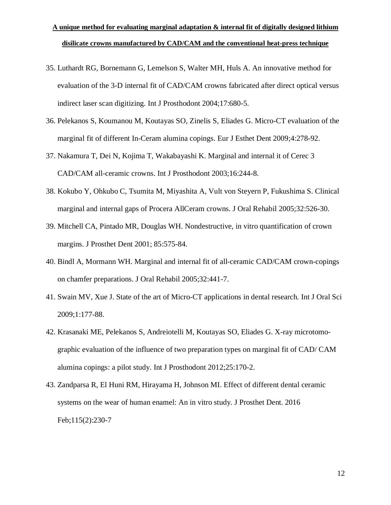- 35. Luthardt RG, Bornemann G, Lemelson S, Walter MH, Huls A. An innovative method for evaluation of the 3-D internal fit of CAD/CAM crowns fabricated after direct optical versus indirect laser scan digitizing. Int J Prosthodont 2004;17:680-5.
- 36. Pelekanos S, Koumanou M, Koutayas SO, Zinelis S, Eliades G. Micro-CT evaluation of the marginal fit of different In-Ceram alumina copings. Eur J Esthet Dent 2009;4:278-92.
- 37. Nakamura T, Dei N, Kojima T, Wakabayashi K. Marginal and internal it of Cerec 3 CAD/CAM all-ceramic crowns. Int J Prosthodont 2003;16:244-8.
- 38. Kokubo Y, Ohkubo C, Tsumita M, Miyashita A, Vult von Steyern P, Fukushima S. Clinical marginal and internal gaps of Procera AllCeram crowns. J Oral Rehabil 2005;32:526-30.
- 39. Mitchell CA, Pintado MR, Douglas WH. Nondestructive, in vitro quantification of crown margins. J Prosthet Dent 2001; 85:575-84.
- 40. Bindl A, Mormann WH. Marginal and internal fit of all-ceramic CAD/CAM crown-copings on chamfer preparations. J Oral Rehabil 2005;32:441-7.
- 41. Swain MV, Xue J. State of the art of Micro-CT applications in dental research. Int J Oral Sci 2009;1:177-88.
- 42. Krasanaki ME, Pelekanos S, Andreiotelli M, Koutayas SO, Eliades G. X-ray microtomographic evaluation of the influence of two preparation types on marginal fit of CAD/ CAM alumina copings: a pilot study. Int J Prosthodont 2012;25:170-2.
- 43. [Zandparsa](https://www-ncbi-nlm-nih-gov.library-proxy.tamhsc.edu/pubmed/?term=Zandparsa%20R%5BAuthor%5D&cauthor=true&cauthor_uid=26548885) R, El [Huni](https://www-ncbi-nlm-nih-gov.library-proxy.tamhsc.edu/pubmed/?term=El%20Huni%20RM%5BAuthor%5D&cauthor=true&cauthor_uid=26548885) RM, [Hirayama](https://www-ncbi-nlm-nih-gov.library-proxy.tamhsc.edu/pubmed/?term=Hirayama%20H%5BAuthor%5D&cauthor=true&cauthor_uid=26548885) H, [Johnson](https://www-ncbi-nlm-nih-gov.library-proxy.tamhsc.edu/pubmed/?term=Johnson%20MI%5BAuthor%5D&cauthor=true&cauthor_uid=26548885) MI. Effect of different dental ceramic systems on the wear of human enamel: An in vitro study. J Prosthet Dent. 2016 Feb;115(2):230-7